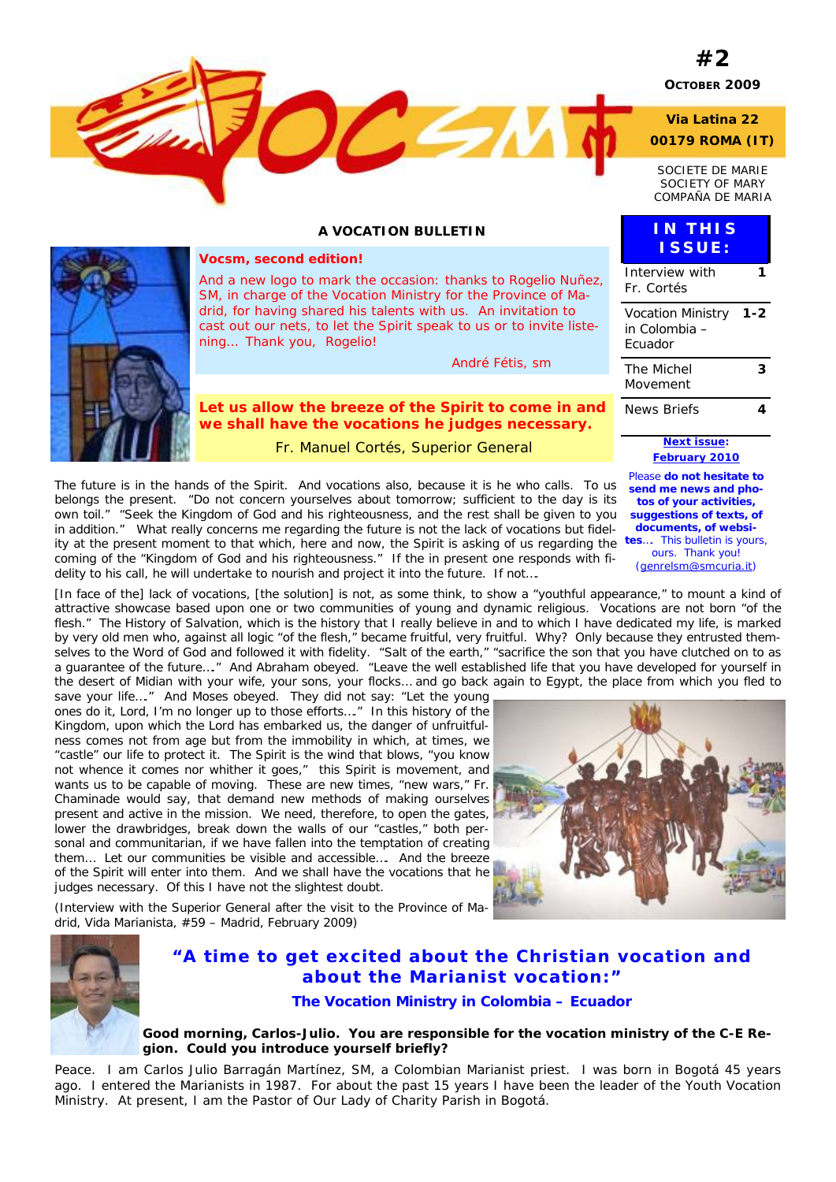

#### **A VOCATION BULLETIN**



#### *Vocsm, second edition!*

*And a new logo to mark the occasion: thanks to Rogelio Nuñez, SM, in charge of the Vocation Ministry for the Province of Madrid, for having shared his talents with us. An invitation to cast out our nets, to let the Spirit speak to us or to invite listening… Thank you, Rogelio!* 

 *André Fétis, sm* 

*Let us allow the breeze of the Spirit to come in and we shall have the vocations he judges necessary.* 

Fr. Manuel Cortés, Superior General

The future is in the hands of the Spirit. And vocations also, because it is he who calls. To us belongs the present. "Do not concern yourselves about tomorrow; sufficient to the day is its own toil." "Seek the Kingdom of God and his righteousness, and the rest shall be given to you in addition." What really concerns me regarding the future is not the lack of vocations but fidelity at the present moment to that which, here and now, the Spirit is asking of us regarding the *tes…. This bulletin is yours,*  coming of the "Kingdom of God and his righteousness." If the in present one responds with fidelity to his call, he will undertake to nourish and project it into the future. If not….

[In face of the] lack of vocations, [the solution] is not, as some think, to show a "youthful appearance," to mount a kind of attractive showcase based upon one or two communities of young and dynamic religious. Vocations are not born "of the flesh." The History of Salvation, which is the history that I really believe in and to which I have dedicated my life, is marked by very old men who, against all logic "of the flesh," became fruitful, very fruitful. Why? Only because they entrusted themselves to the Word of God and followed it with fidelity. "Salt of the earth," "sacrifice the son that you have clutched on to as a guarantee of the future…." And Abraham obeyed. "Leave the well established life that you have developed for yourself in the desert of Midian with your wife, your sons, your flocks… and go back again to Egypt, the place from which you fled to

save your life…." And Moses obeyed. They did not say: "Let the young ones do it, Lord, I'm no longer up to those efforts…." In this history of the Kingdom, upon which the Lord has embarked us, the danger of unfruitfulness comes not from age but from the immobility in which, at times, we "castle" our life to protect it. The Spirit is the wind that blows, "you know not whence it comes nor whither it goes," this Spirit is movement, and wants us to be capable of moving. These are new times, "new wars," Fr. Chaminade would say, that demand new methods of making ourselves present and active in the mission. We need, therefore, to open the gates, lower the drawbridges, break down the walls of our "castles," both personal and communitarian, if we have fallen into the temptation of creating them… Let our communities be visible and accessible…. And the breeze of the Spirit will enter into them. And we shall have the vocations that he judges necessary. Of this I have not the slightest doubt.

(Interview with the Superior General after the visit to the Province of Madrid, *Vida Marianista*, #59 – Madrid, February 2009)



### *"A time to get excited about the Christian vocation and about the Marianist vocation:"*

#### **The Vocation Ministry in Colombia – Ecuador**

#### **Good morning, Carlos-Julio. You are responsible for the vocation ministry of the C-E Region. Could you introduce yourself briefly?**

Peace. I am Carlos Julio Barragán Martínez, SM, a Colombian Marianist priest. I was born in Bogotá 45 years ago. I entered the Marianists in 1987. For about the past 15 years I have been the leader of the Youth Vocation Ministry. At present, I am the Pastor of Our Lady of Charity Parish in Bogotá.



### News Briefs **4**  *Next issue: February 2010 Please do not hesitate to send me news and photos of your activities, suggestions of texts, of documents, of websiours. Thank you!*

Interview with Fr. Cortés

**IN THIS ISSUE:**

Vocation Ministry in Colombia – Ecuador

The Michel Movement

**1** 

**1-2** 

**3** 

*(genrelsm@smcuria.it)*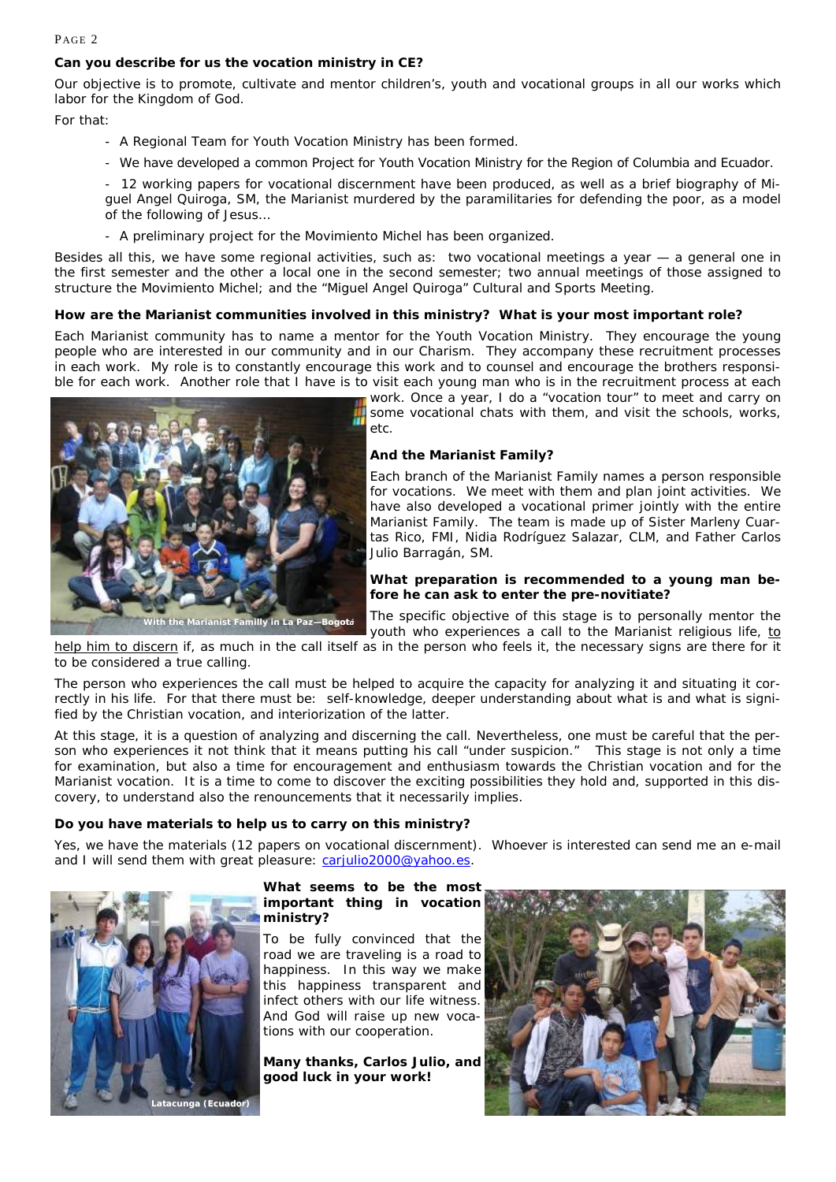#### PAGE 2

#### **Can you describe for us the vocation ministry in CE?**

Our objective is to promote, cultivate and mentor children's, youth and vocational groups in all our works which labor for the Kingdom of God.

For that:

- A Regional Team for Youth Vocation Ministry has been formed.
- We have developed a common Project for Youth Vocation Ministry for the Region of Columbia and Ecuador.
- 12 working papers for vocational discernment have been produced, as well as a brief biography of Miguel Angel Quiroga, SM, the Marianist murdered by the paramilitaries for defending the poor, as a model of the following of Jesus…
- A preliminary project for the *Movimiento Michel* has been organized.

Besides all this, we have some regional activities, such as: two vocational meetings a year — a general one in the first semester and the other a local one in the second semester; two annual meetings of those assigned to structure the *Movimiento Michel*; and the "Miguel Angel Quiroga" Cultural and Sports Meeting.

#### **How are the Marianist communities involved in this ministry? What is your most important role?**

Each Marianist community has to name a mentor for the Youth Vocation Ministry. They encourage the young people who are interested in our community and in our Charism. They accompany these recruitment processes in each work. My role is to constantly encourage this work and to counsel and encourage the brothers responsible for each work. Another role that I have is to visit each young man who is in the recruitment process at each



work. Once a year, I do a "vocation tour" to meet and carry on some vocational chats with them, and visit the schools, works, etc.

#### **And the Marianist Family?**

Each branch of the Marianist Family names a person responsible for vocations. We meet with them and plan joint activities. We have also developed a vocational primer jointly with the entire Marianist Family. The team is made up of Sister Marleny Cuartas Rico, FMI, Nidia Rodríguez Salazar, CLM, and Father Carlos Julio Barragán, SM.

#### **What preparation is recommended to a young man before he can ask to enter the pre-novitiate?**

The specific objective of this stage is to personally mentor the youth who experiences a call to the Marianist religious life, to

help him to discern if, as much in the call itself as in the person who feels it, the necessary signs are there for it to be considered a true calling.

The person who experiences the call must be helped to acquire the capacity for analyzing it and situating it correctly in his life. For that there must be: self-knowledge, deeper understanding about what is and what is signified by the Christian vocation, and interiorization of the latter.

At this stage, it is a question of analyzing and discerning the call. Nevertheless, one must be careful that the person who experiences it not think that it means putting his call "under suspicion." This stage is not only a time for examination, but also a time for encouragement and enthusiasm towards the Christian vocation and for the Marianist vocation. It is a time to come to discover the exciting possibilities they hold and, supported in this discovery, to understand also the renouncements that it necessarily implies.

#### **Do you have materials to help us to carry on this ministry?**

Yes, we have the materials (12 papers on vocational discernment). Whoever is interested can send me an e-mail and I will send them with great pleasure: carjulio2000@yahoo.es.



#### **What seems to be the most important thing in vocation ministry?**

To be fully convinced that the road we are traveling is a road to happiness. In this way we make this happiness transparent and infect others with our life witness. And God will raise up new vocations with our cooperation.

**Many thanks, Carlos Julio, and good luck in your work!** 

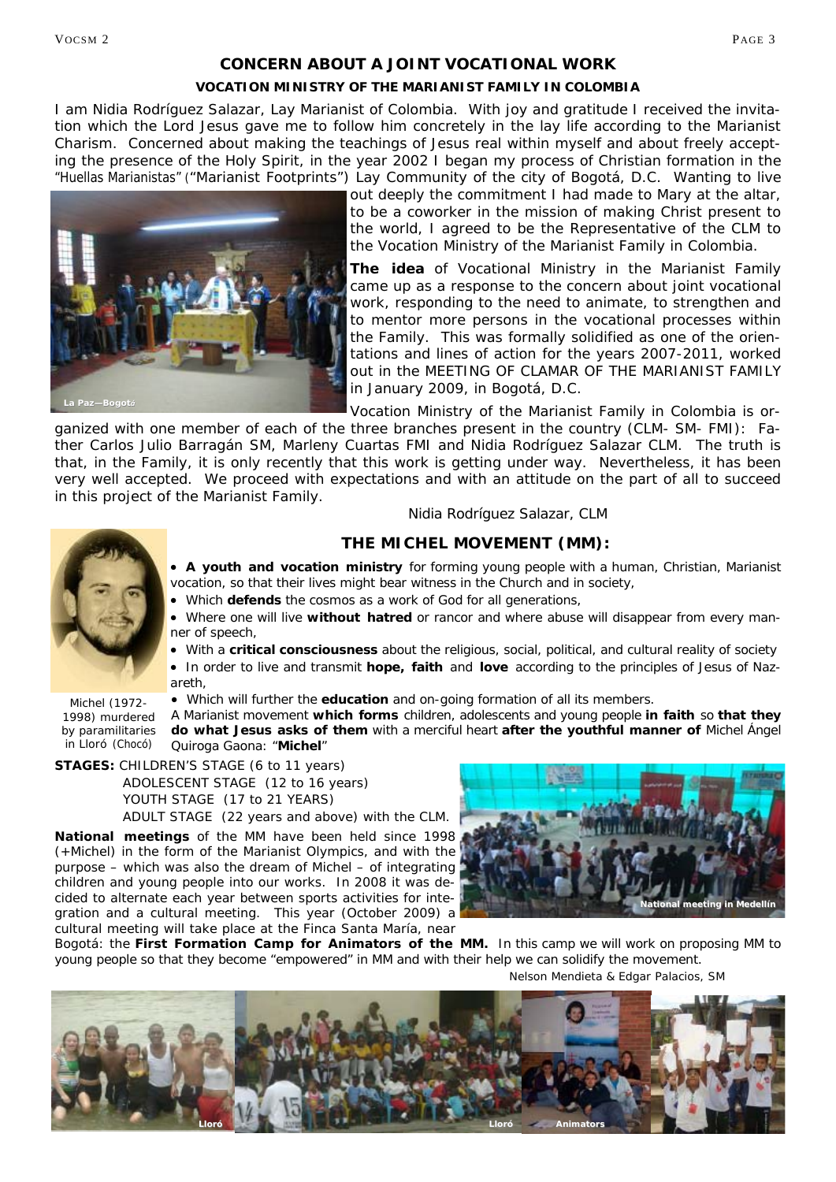#### *CONCERN ABOUT A JOINT VOCATIONAL WORK*

#### **VOCATION MINISTRY OF THE MARIANIST FAMILY IN COLOMBIA**

I am Nidia Rodríguez Salazar, Lay Marianist of Colombia. With joy and gratitude I received the invitation which the Lord Jesus gave me to follow him concretely in the lay life according to the Marianist Charism. Concerned about making the teachings of Jesus real within myself and about freely accepting the presence of the Holy Spirit, in the year 2002 I began my process of Christian formation in the "Huellas Marianistas" ("Marianist Footprints") Lay Community of the city of Bogotá, D.C. Wanting to live



out deeply the commitment I had made to Mary at the altar, to be a coworker in the mission of making Christ present to the world, I agreed to be the Representative of the CLM to the Vocation Ministry of the Marianist Family in Colombia.

**The idea** of Vocational Ministry in the Marianist Family came up as a response to the concern about joint vocational work, responding to the need to animate, to strengthen and to mentor more persons in the vocational processes within the Family. This was formally solidified as one of the orientations and lines of action for the years 2007-2011, worked out in the MEETING OF CLAMAR OF THE MARIANIST FAMILY in January 2009, in Bogotá, D.C.

Vocation Ministry of the Marianist Family in Colombia is or-

ganized with one member of each of the three branches present in the country (CLM- SM- FMI): Father Carlos Julio Barragán SM, Marleny Cuartas FMI and Nidia Rodríguez Salazar CLM. The truth is that, in the Family, it is only recently that this work is getting under way. Nevertheless, it has been very well accepted. We proceed with expectations and with an attitude on the part of all to succeed in this project of the Marianist Family.<br>Nidia Rodríguez Salazar, CLM



Michel (1972- 1998) murdered by paramilitaries in Lloró (Chocó)

#### **THE MICHEL MOVEMENT (MM):**

• **A youth and vocation ministry** for forming young people with a human, Christian, Marianist vocation, so that their lives might bear witness in the Church and in society,

• Which **defends** the cosmos as a work of God for all generations,

• Where one will live **without hatred** or rancor and where abuse will disappear from every manner of speech,

• With a **critical consciousness** about the religious, social, political, and cultural reality of society • In order to live and transmit **hope, faith** and **love** according to the principles of Jesus of Nazareth,

• Which will further the **education** and on-going formation of all its members.

*A Marianist movement which forms children, adolescents and young people in faith so that they do what Jesus asks of them with a merciful heart after the youthful manner of Michel Ángel Quiroga Gaona: "Michel"* 

**STAGES:** CHILDREN'S STAGE (6 to 11 years)

 ADOLESCENT STAGE (12 to 16 years) YOUTH STAGE (17 to 21 YEARS) ADULT STAGE (22 years and above) with the CLM.

**National meetings** of the MM have been held since 1998 (+Michel) in the form of the Marianist Olympics, and with the purpose – which was also the dream of Michel – of integrating children and young people into our works. In 2008 it was decided to alternate each year between sports activities for integration and a cultural meeting. This year (October 2009) a cultural meeting will take place at the Finca Santa María, near



Bogotá: the *First Formation Camp for Animators of the MM.* In this camp we will work on proposing MM to young people so that they become "empowered" in MM and with their help we can solidify the movement.

Nelson Mendieta & Edgar Palacios, SM